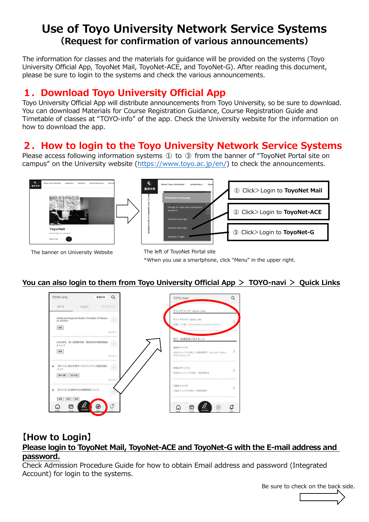# **Use of Toyo University Network Service Systems (Request for confirmation of various announcements)**

The information for classes and the materials for guidance will be provided on the systems (Toyo University Official App, ToyoNet Mail, ToyoNet-ACE, and ToyoNet-G). After reading this document, please be sure to login to the systems and check the various announcements.

# **1.Download Toyo University Official App**

Toyo University Official App will distribute announcements from Toyo University, so be sure to download. You can download Materials for Course Registration Guidance, Course Registration Guide and Timetable of classes at "TOYO-info" of the app. Check the University website for the information on how to download the app.

# **2.How to login to the Toyo University Network Service Systems**

Please access following information systems ① to ③ from the banner of "ToyoNet Portal site on campus" on the University website [\(https://www.toyo.ac.jp/en/\)](https://www.toyo.ac.jp/en/) to check the announcements.







The left of ToyoNet Portal site \*When you use a smartphone, click "Menu" in the upper right.

### **You can also login to them from Toyo University Official App > TOYO-navi > Quick Links**



### **【How to Login】 Please login to ToyoNet Mail, ToyoNet-ACE and ToyoNet-G with the E-mail address and password.**

Check Admission Procedure Guide for how to obtain Email address and password (Integrated Account) for login to the systems.

Be sure to check on the back side.